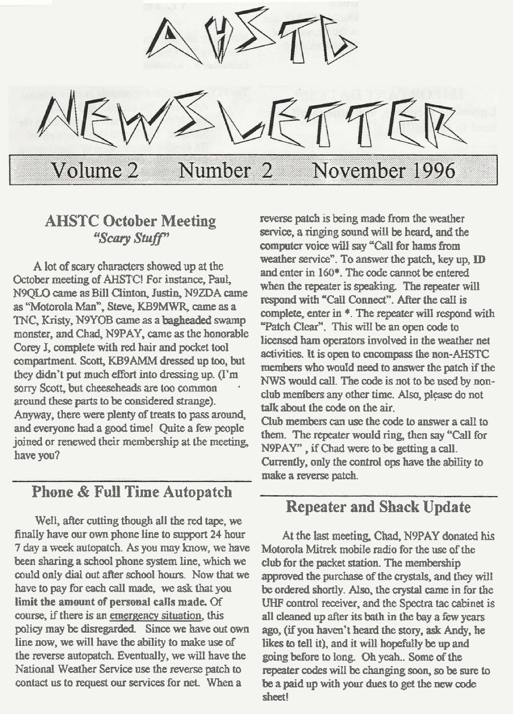

**A lot of scary chruacters showed** up **at** the **October meeting of AHSTC! For instance, Paul,** N9QLX) came **as Bill** Ciintm, **Justin, N9ZDA** came **as "Motorola Mann, Steve, K39m am as a TNC, Kristy, N9YO3 came as a swamp monster, and Chad, N9PAY,** me **as the honorable**  Corey **J**, complete with red hair and pocket tool **compartment.** Scott, **KBSAMM dressed up toa, but**  they didn't put much effort into dressing up. (I'm **sorry Scott**, but cheeseheads are too common **around** thee **parts to be** consikred **strange). Anyway, there** were **plenty of** treats **to** pas^ **arm4 and -one had a good time! Quite a few people joined or renewed their membership at tbe meeting have you?** 

## **Phone** & **Full Time Autopatch**

**Well,** *after* **cutling though all** the **red tape, we finally have our own phone line to support 24 hour 7 day a week autopatch. As you my how, wz have been sharing a** school **phone system line, which we could oniy dial** mt **after school hours. Now that** we **have to pay for each call made, we ask that you limit the mount of personal calls made. Of course, if** there **is an emergeny** situation, **this policy may be disregarded.** Since we have out own **line now, we will** have the **ability to make** use **of**   $t$  the reverse autopatch. Eventually, we will have the **National Weather Service use the reverse patch to contact us to** request **our services for net. When a** 

**AHSTC October Meeting** reverse patch is being made from the weather service, a ringing sound will be heard, and the **SCALL Service, a ringing sound will be heard, and the cornpter voice** wilf **say "Cat1 for hams hm weather service**". To answer the patch, key up, **ID and enter in 160\*. The oode** cannot **be entered**  when the repeater is speaking. The repeater will  $r$ **espond with "Call Connect". After the call is complete, enter in \*. The repeater will respond with** "Patch Clear". This will be an open code to **licensed ham** operators **involved in the** weather **net**  activities. **It is open to encompass the nm-AHSTC members** who would need to answer the patch if the *NWS* **would dl. The code is not to be** used **by nonclub menibers any other time. Also, please do not** talk **about the** code **on the air. Club members can use the code to answer a call to** them. The repeater would ring, then say "Call for

N9PAY", if Chad were to be getting a call. **Currently, ody the control ops** have **the abiity to make a** reverse **patch.** 

## **Repeater and Shack Update**

**At the last meeting, Chad, N9PAY donated his Motorola Mitrek mobile radio for the use of the**  club for the packet station. The membership **apprwed the** purchase **of the crystals, and they will be ordered shortly. Alq the** crystal **came in for the UHF contro1 ever, and** the **Spectra tac &inet is all cleaned up after its** bath **in the bay a few years ago, (if you haven't heard the story, ask** *Andy,* **he**  likes **to tell** it), and it will hopefully be up and **going before to long Oh yeah..** *Some* **ofthe**  repeater codes will be changing soon, so be sure to be a paid up with your dues to get the new code **sheet!**